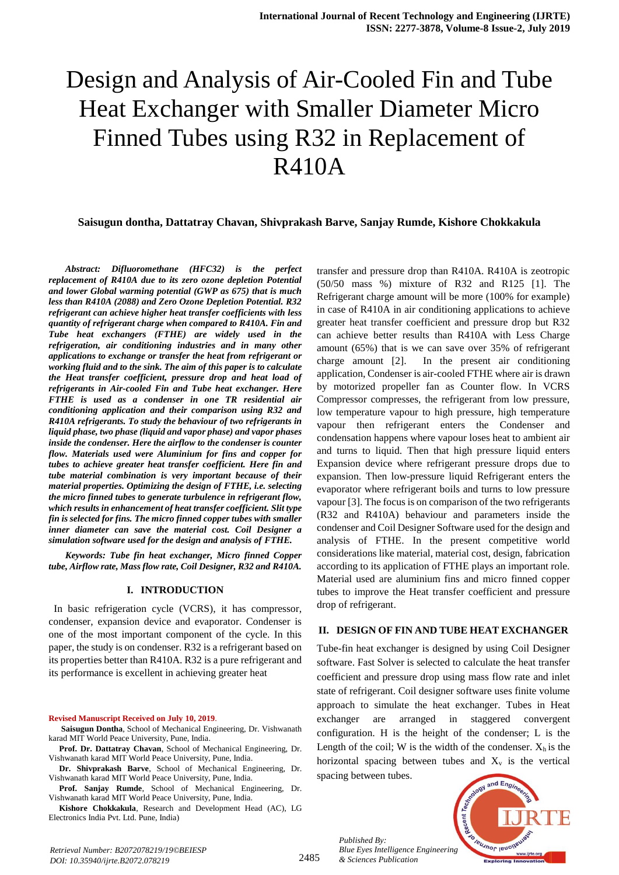# Design and Analysis of Air-Cooled Fin and Tube Heat Exchanger with Smaller Diameter Micro Finned Tubes using R32 in Replacement of R410A

#### **Saisugun dontha, Dattatray Chavan, Shivprakash Barve, Sanjay Rumde, Kishore Chokkakula**

 *Abstract: Difluoromethane (HFC32) is the perfect replacement of R410A due to its zero ozone depletion Potential and lower Global warming potential (GWP as 675) that is much less than R410A (2088) and Zero Ozone Depletion Potential. R32 refrigerant can achieve higher heat transfer coefficients with less quantity of refrigerant charge when compared to R410A. Fin and Tube heat exchangers (FTHE) are widely used in the refrigeration, air conditioning industries and in many other applications to exchange or transfer the heat from refrigerant or working fluid and to the sink. The aim of this paper is to calculate the Heat transfer coefficient, pressure drop and heat load of refrigerants in Air-cooled Fin and Tube heat exchanger. Here FTHE is used as a condenser in one TR residential air conditioning application and their comparison using R32 and R410A refrigerants. To study the behaviour of two refrigerants in liquid phase, two phase (liquid and vapor phase) and vapor phases inside the condenser. Here the airflow to the condenser is counter flow. Materials used were Aluminium for fins and copper for tubes to achieve greater heat transfer coefficient. Here fin and tube material combination is very important because of their material properties. Optimizing the design of FTHE, i.e. selecting the micro finned tubes to generate turbulence in refrigerant flow, which results in enhancement of heat transfer coefficient. Slit type fin is selected for fins. The micro finned copper tubes with smaller inner diameter can save the material cost. Coil Designer a simulation software used for the design and analysis of FTHE.*

 *Keywords: Tube fin heat exchanger, Micro finned Copper tube, Airflow rate, Mass flow rate, Coil Designer, R32 and R410A.*

#### **I. INTRODUCTION**

 In basic refrigeration cycle (VCRS), it has compressor, condenser, expansion device and evaporator. Condenser is one of the most important component of the cycle. In this paper, the study is on condenser. R32 is a refrigerant based on its properties better than R410A. R32 is a pure refrigerant and its performance is excellent in achieving greater heat

#### **Revised Manuscript Received on July 10, 2019**.

**Saisugun Dontha**, School of Mechanical Engineering, Dr. Vishwanath karad MIT World Peace University, Pune, India.

- **Prof. Dr. Dattatray Chavan**, School of Mechanical Engineering, Dr. Vishwanath karad MIT World Peace University, Pune, India.
- **Dr. Shivprakash Barve**, School of Mechanical Engineering, Dr. Vishwanath karad MIT World Peace University, Pune, India.

**Prof. Sanjay Rumde**, School of Mechanical Engineering, Dr. Vishwanath karad MIT World Peace University, Pune, India.

**Kishore Chokkakula**, Research and Development Head (AC), LG Electronics India Pvt. Ltd. Pune, India)

transfer and pressure drop than R410A. R410A is zeotropic (50/50 mass %) mixture of R32 and R125 [1]. The Refrigerant charge amount will be more (100% for example) in case of R410A in air conditioning applications to achieve greater heat transfer coefficient and pressure drop but R32 can achieve better results than R410A with Less Charge amount (65%) that is we can save over 35% of refrigerant charge amount [2]. In the present air conditioning application, Condenser is air-cooled FTHE where air is drawn by motorized propeller fan as Counter flow. In VCRS Compressor compresses, the refrigerant from low pressure, low temperature vapour to high pressure, high temperature vapour then refrigerant enters the Condenser and condensation happens where vapour loses heat to ambient air and turns to liquid. Then that high pressure liquid enters Expansion device where refrigerant pressure drops due to expansion. Then low-pressure liquid Refrigerant enters the evaporator where refrigerant boils and turns to low pressure vapour [3]. The focus is on comparison of the two refrigerants (R32 and R410A) behaviour and parameters inside the condenser and Coil Designer Software used for the design and analysis of FTHE. In the present competitive world considerations like material, material cost, design, fabrication according to its application of FTHE plays an important role. Material used are aluminium fins and micro finned copper tubes to improve the Heat transfer coefficient and pressure drop of refrigerant.

#### **II. DESIGN OF FIN AND TUBE HEAT EXCHANGER**

Tube-fin heat exchanger is designed by using Coil Designer software. Fast Solver is selected to calculate the heat transfer coefficient and pressure drop using mass flow rate and inlet state of refrigerant. Coil designer software uses finite volume approach to simulate the heat exchanger. Tubes in Heat exchanger are arranged in staggered convergent configuration. H is the height of the condenser; L is the Length of the coil; W is the width of the condenser.  $X_h$  is the horizontal spacing between tubes and  $X<sub>v</sub>$  is the vertical spacing between tubes.

*Published By: Blue Eyes Intelligence Engineering & Sciences Publication*



2485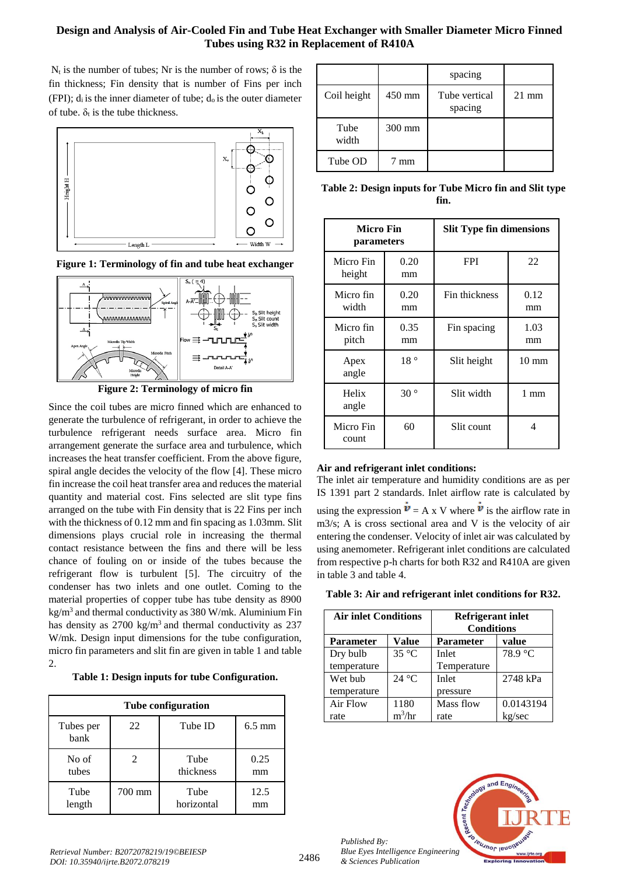## **Design and Analysis of Air-Cooled Fin and Tube Heat Exchanger with Smaller Diameter Micro Finned Tubes using R32 in Replacement of R410A**

 $N_t$  is the number of tubes; Nr is the number of rows;  $\delta$  is the fin thickness; Fin density that is number of Fins per inch (FPI);  $d_i$  is the inner diameter of tube;  $d_0$  is the outer diameter of tube.  $\delta_t$  is the tube thickness.







**Figure 2: Terminology of micro fin**

Since the coil tubes are micro finned which are enhanced to generate the turbulence of refrigerant, in order to achieve the turbulence refrigerant needs surface area. Micro fin arrangement generate the surface area and turbulence, which increases the heat transfer coefficient. From the above figure, spiral angle decides the velocity of the flow [4]. These micro fin increase the coil heat transfer area and reduces the material quantity and material cost. Fins selected are slit type fins arranged on the tube with Fin density that is 22 Fins per inch with the thickness of 0.12 mm and fin spacing as 1.03mm. Slit dimensions plays crucial role in increasing the thermal contact resistance between the fins and there will be less chance of fouling on or inside of the tubes because the refrigerant flow is turbulent [5]. The circuitry of the condenser has two inlets and one outlet. Coming to the material properties of copper tube has tube density as 8900  $kg/m<sup>3</sup>$  and thermal conductivity as 380 W/mk. Aluminium Fin has density as  $2700 \text{ kg/m}^3$  and thermal conductivity as  $237$ W/mk. Design input dimensions for the tube configuration, micro fin parameters and slit fin are given in table 1 and table 2.

**Table 1: Design inputs for tube Configuration.**

| <b>Tube configuration</b> |                             |            |                  |  |
|---------------------------|-----------------------------|------------|------------------|--|
| Tubes per<br>bank         | 22                          | Tube ID    | $6.5 \text{ mm}$ |  |
| No of                     | $\mathcal{D}_{\mathcal{L}}$ | Tube       | 0.25             |  |
| tubes                     |                             | thickness  | mm               |  |
| Tube                      | 700 mm                      | Tube       | 12.5             |  |
| length                    |                             | horizontal | mm               |  |

|               |        | spacing                  |                 |
|---------------|--------|--------------------------|-----------------|
| Coil height   | 450 mm | Tube vertical<br>spacing | $21 \text{ mm}$ |
| Tube<br>width | 300 mm |                          |                 |
| Tube OD       | mm     |                          |                 |

**Table 2: Design inputs for Tube Micro fin and Slit type fin.**

| <b>Micro Fin</b><br>parameters |              | <b>Slit Type fin dimensions</b> |                 |
|--------------------------------|--------------|---------------------------------|-----------------|
| Micro Fin<br>height            | 0.20<br>mm   | <b>FPI</b>                      | 22              |
| Micro fin<br>width             | 0.20<br>mm   | Fin thickness                   | 0.12<br>mm      |
| Micro fin<br>pitch             | 0.35<br>mm   | Fin spacing                     | 1.03<br>mm      |
| Apex<br>angle                  | 18°          | Slit height                     | $10 \text{ mm}$ |
| Helix<br>angle                 | $30^{\circ}$ | Slit width                      | 1 mm            |
| Micro Fin<br>count             | 60           | Slit count                      | 4               |

## **Air and refrigerant inlet conditions:**

The inlet air temperature and humidity conditions are as per IS 1391 part 2 standards. Inlet airflow rate is calculated by using the expression  $\mathbf{v} = A x V$  where  $\mathbf{v}$  is the airflow rate in m3/s; A is cross sectional area and V is the velocity of air entering the condenser. Velocity of inlet air was calculated by using anemometer. Refrigerant inlet conditions are calculated from respective p-h charts for both R32 and R410A are given in table 3 and table 4.

| <b>Air inlet Conditions</b> |                | <b>Refrigerant inlet</b><br><b>Conditions</b> |           |
|-----------------------------|----------------|-----------------------------------------------|-----------|
| <b>Parameter</b>            | <b>Value</b>   | value<br><b>Parameter</b>                     |           |
| Dry bulb                    | $35^{\circ}$ C | Inlet                                         | 78.9 °C   |
| temperature                 |                | Temperature                                   |           |
| Wet bub                     | 24 °C          | Inlet                                         | 2748 kPa  |
| temperature                 |                | pressure                                      |           |
| Air Flow                    | 1180           | Mass flow                                     | 0.0143194 |
| rate                        | $m^3/hr$       | rate                                          | kg/sec    |



*Published By:*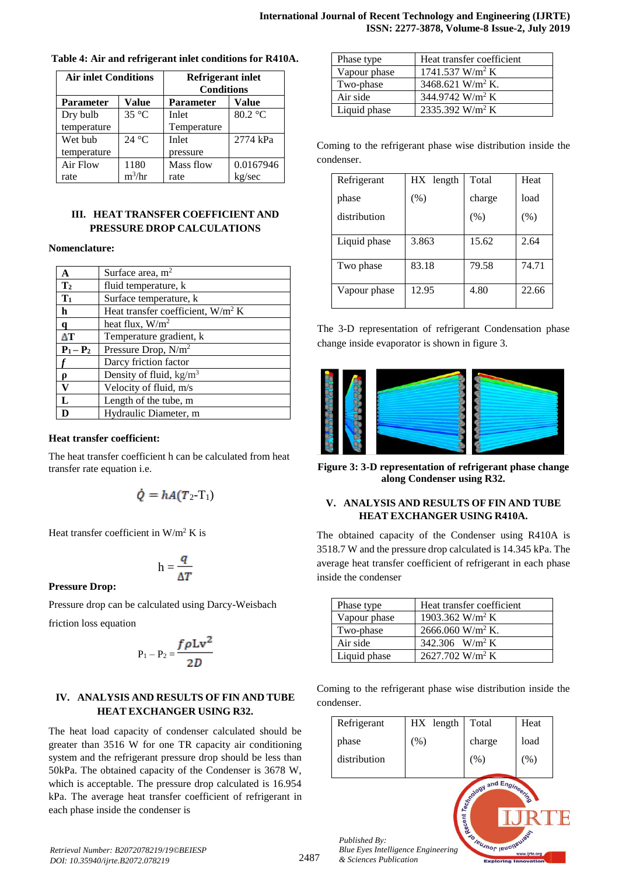| <b>Air inlet Conditions</b> |                | <b>Refrigerant inlet</b><br><b>Conditions</b> |                   |
|-----------------------------|----------------|-----------------------------------------------|-------------------|
| <b>Parameter</b>            | Value          | Value<br><b>Parameter</b>                     |                   |
| Dry bulb                    | $35^{\circ}$ C | Inlet                                         | $80.2 \text{ °C}$ |
| temperature                 |                | Temperature                                   |                   |
| Wet bub                     | 24 °C          | Inlet                                         | 2774 kPa          |
| temperature                 |                | pressure                                      |                   |
| Air Flow                    | 1180           | Mass flow                                     | 0.0167946         |
| rate                        | $m^3/hr$       | rate                                          | kg/sec            |

#### **Table 4: Air and refrigerant inlet conditions for R410A.**

## **III. HEAT TRANSFER COEFFICIENT AND PRESSURE DROP CALCULATIONS**

#### **Nomenclature:**

| A              | Surface area, $m2$                   |
|----------------|--------------------------------------|
| $\mathbf{T}_2$ | fluid temperature, k                 |
| $T_1$          | Surface temperature, k               |
| h              | Heat transfer coefficient, $W/m^2 K$ |
| a              | heat flux, $W/m^2$                   |
| ΔТ             | Temperature gradient, k              |
| $P_1 - P_2$    | Pressure Drop, N/m <sup>2</sup>      |
|                | Darcy friction factor                |
|                | Density of fluid, $\text{kg/m}^3$    |
| V              | Velocity of fluid, m/s               |
| L              | Length of the tube, m                |
|                | Hydraulic Diameter, m                |

#### **Heat transfer coefficient:**

The heat transfer coefficient h can be calculated from heat transfer rate equation i.e.

$$
\dot{Q}=hA(T_2-T_1)
$$

Heat transfer coefficient in  $W/m^2 K$  is

$$
h = \frac{q}{\Delta T}
$$

**Pressure Drop:**

Pressure drop can be calculated using Darcy-Weisbach

friction loss equation

$$
P_1 - P_2 = \frac{f \rho L v^2}{2D}
$$

## **IV. ANALYSIS AND RESULTS OF FIN AND TUBE HEAT EXCHANGER USING R32.**

The heat load capacity of condenser calculated should be greater than 3516 W for one TR capacity air conditioning system and the refrigerant pressure drop should be less than 50kPa. The obtained capacity of the Condenser is 3678 W, which is acceptable. The pressure drop calculated is 16.954 kPa. The average heat transfer coefficient of refrigerant in each phase inside the condenser is

| Phase type   | Heat transfer coefficient     |
|--------------|-------------------------------|
| Vapour phase | $1741.537$ W/m <sup>2</sup> K |
| Two-phase    | 3468.621 W/m <sup>2</sup> K.  |
| Air side     | 344.9742 W/m <sup>2</sup> K   |
| Liquid phase | 2335.392 W/m <sup>2</sup> K   |

Coming to the refrigerant phase wise distribution inside the condenser.

| Refrigerant  | HX length | Total  | Heat  |
|--------------|-----------|--------|-------|
| phase        | $(\%)$    | charge | load  |
| distribution |           | (% )   | (% )  |
| Liquid phase | 3.863     | 15.62  | 2.64  |
| Two phase    | 83.18     | 79.58  | 74.71 |
| Vapour phase | 12.95     | 4.80   | 22.66 |

The 3-D representation of refrigerant Condensation phase change inside evaporator is shown in figure 3.



**Figure 3: 3-D representation of refrigerant phase change along Condenser using R32.**

#### **V. ANALYSIS AND RESULTS OF FIN AND TUBE HEAT EXCHANGER USING R410A.**

The obtained capacity of the Condenser using R410A is 3518.7 W and the pressure drop calculated is 14.345 kPa. The average heat transfer coefficient of refrigerant in each phase inside the condenser

| Phase type   | Heat transfer coefficient    |
|--------------|------------------------------|
| Vapour phase | 1903.362 W/m <sup>2</sup> K  |
| Two-phase    | 2666.060 W/m <sup>2</sup> K. |
| Air side     | 342.306 W/m <sup>2</sup> K   |
| Liquid phase | 2627.702 W/m <sup>2</sup> K  |

Coming to the refrigerant phase wise distribution inside the condenser.

| Refrigerant                                                | HX length | Total                                                                 | Heat |
|------------------------------------------------------------|-----------|-----------------------------------------------------------------------|------|
| phase                                                      | (%)       | charge                                                                | load |
| distribution                                               |           | (% )                                                                  | (% ) |
| Published By:<br><b>Blue Eyes Intelligence Engineering</b> |           | <b>ENGINEER AND ARRESTS OF THE REAL PROPERTY OF THE REAL PROPERTY</b> |      |

*Retrieval Number: B2072078219/19©BEIESP DOI: 10.35940/ijrte.B2072.078219*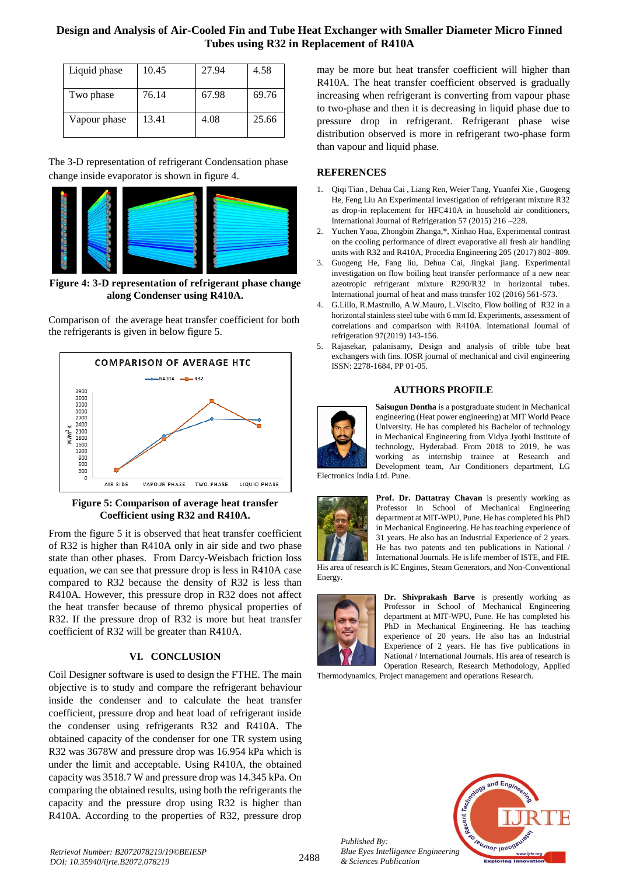## **Design and Analysis of Air-Cooled Fin and Tube Heat Exchanger with Smaller Diameter Micro Finned Tubes using R32 in Replacement of R410A**

| Liquid phase | 10.45 | 27.94 | 4.58  |
|--------------|-------|-------|-------|
| Two phase    | 76.14 | 67.98 | 69.76 |
| Vapour phase | 13.41 | 4.08  | 25.66 |

The 3-D representation of refrigerant Condensation phase change inside evaporator is shown in figure 4.



**Figure 4: 3-D representation of refrigerant phase change along Condenser using R410A.**



Comparison of the average heat transfer coefficient for both the refrigerants is given in below figure 5.

### **Figure 5: Comparison of average heat transfer Coefficient using R32 and R410A.**

From the figure 5 it is observed that heat transfer coefficient of R32 is higher than R410A only in air side and two phase state than other phases. From Darcy-Weisbach friction loss equation, we can see that pressure drop is less in R410A case compared to R32 because the density of R32 is less than R410A. However, this pressure drop in R32 does not affect the heat transfer because of thremo physical properties of R32. If the pressure drop of R32 is more but heat transfer coefficient of R32 will be greater than R410A.

## **VI. CONCLUSION**

Coil Designer software is used to design the FTHE. The main objective is to study and compare the refrigerant behaviour inside the condenser and to calculate the heat transfer coefficient, pressure drop and heat load of refrigerant inside the condenser using refrigerants R32 and R410A. The obtained capacity of the condenser for one TR system using R32 was 3678W and pressure drop was 16.954 kPa which is under the limit and acceptable. Using R410A, the obtained capacity was 3518.7 W and pressure drop was 14.345 kPa. On comparing the obtained results, using both the refrigerants the capacity and the pressure drop using R32 is higher than R410A. According to the properties of R32, pressure drop

may be more but heat transfer coefficient will higher than R410A. The heat transfer coefficient observed is gradually increasing when refrigerant is converting from vapour phase to two-phase and then it is decreasing in liquid phase due to pressure drop in refrigerant. Refrigerant phase wise distribution observed is more in refrigerant two-phase form than vapour and liquid phase.

## **REFERENCES**

- 1. Qiqi Tian , Dehua Cai , Liang Ren, Weier Tang, Yuanfei Xie , Guogeng He, Feng Liu An Experimental investigation of refrigerant mixture R32 as drop-in replacement for HFC410A in household air conditioners, International Journal of Refrigeration 57 (2015) 216 –228.
- 2. Yuchen Yaoa, Zhongbin Zhanga,\*, Xinhao Hua, Experimental contrast on the cooling performance of direct evaporative all fresh air handling units with R32 and R410A, Procedia Engineering 205 (2017) 802–809.
- 3. Guogeng He, Fang liu, Dehua Cai, Jingkai jiang. Experimental investigation on flow boiling heat transfer performance of a new near azeotropic refrigerant mixture R290/R32 in horizontal tubes. International journal of heat and mass transfer 102 (2016) 561-573.
- 4. G.Lillo, R.Mastrullo, A.W.Mauro, L.Viscito, Flow boiling of R32 in a horizontal stainless steel tube with 6 mm Id. Experiments, assessment of correlations and comparison with R410A. International Journal of refrigeration 97(2019) 143-156.
- 5. Rajasekar, palanisamy, Design and analysis of trible tube heat exchangers with fins. IOSR journal of mechanical and civil engineering ISSN: 2278-1684, PP 01-05.

#### **AUTHORS PROFILE**



**Saisugun Dontha** is a postgraduate student in Mechanical engineering (Heat power engineering) at MIT World Peace University. He has completed his Bachelor of technology in Mechanical Engineering from Vidya Jyothi Institute of technology, Hyderabad. From 2018 to 2019, he was working as internship trainee at Research and Development team, Air Conditioners department, LG

Electronics India Ltd. Pune.



**Prof. Dr. Dattatray Chavan** is presently working as Professor in School of Mechanical Engineering department at MIT-WPU, Pune. He has completed his PhD in Mechanical Engineering. He has teaching experience of 31 years. He also has an Industrial Experience of 2 years. He has two patents and ten publications in National / International Journals. He is life member of ISTE, and FIE.

His area of research is IC Engines, Steam Generators, and Non-Conventional Energy.



**Dr. Shivprakash Barve** is presently working as Professor in School of Mechanical Engineering department at MIT-WPU, Pune. He has completed his PhD in Mechanical Engineering. He has teaching experience of 20 years. He also has an Industrial Experience of 2 years. He has five publications in National / International Journals. His area of research is Operation Research, Research Methodology, Applied

Thermodynamics, Project management and operations Research.



*Retrieval Number: B2072078219/19©BEIESP DOI: 10.35940/ijrte.B2072.078219*

*Published By:*